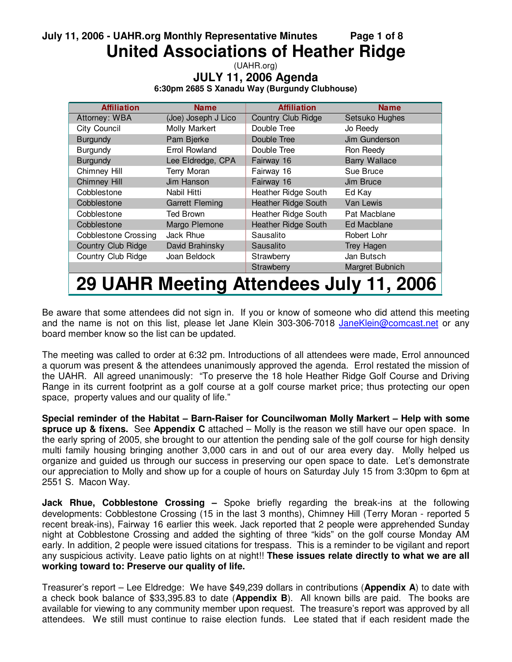# **July 11, 2006 - UAHR.org Monthly Representative Minutes Page 1 of 8 United Associations of Heather Ridge**

(UAHR.org) **JULY 11, 2006 Agenda 6:30pm 2685 S Xanadu Way (Burgundy Clubhouse)**

| <b>Affiliation</b>                      | Name                   | <b>Affiliation</b>         | <b>Name</b>          |  |  |  |  |
|-----------------------------------------|------------------------|----------------------------|----------------------|--|--|--|--|
| Attorney: WBA                           | (Joe) Joseph J Lico    | <b>Country Club Ridge</b>  | Setsuko Hughes       |  |  |  |  |
| City Council                            | Molly Markert          | Double Tree                | Jo Reedy             |  |  |  |  |
| <b>Burgundy</b>                         | Pam Bjerke             | Double Tree                | Jim Gunderson        |  |  |  |  |
| <b>Burgundy</b>                         | Errol Rowland          | Double Tree                | Ron Reedy            |  |  |  |  |
| <b>Burgundy</b>                         | Lee Eldredge, CPA      | Fairway 16                 | <b>Barry Wallace</b> |  |  |  |  |
| Chimney Hill                            | <b>Terry Moran</b>     | Fairway 16                 | Sue Bruce            |  |  |  |  |
| <b>Chimney Hill</b>                     | Jim Hanson             | Fairway 16                 | Jim Bruce            |  |  |  |  |
| Cobblestone                             | Nabil Hitti            | Heather Ridge South        | Ed Kay               |  |  |  |  |
| Cobblestone                             | <b>Garrett Fleming</b> | <b>Heather Ridge South</b> | Van Lewis            |  |  |  |  |
| Cobblestone                             | Ted Brown              | Heather Ridge South        | Pat Macblane         |  |  |  |  |
| Cobblestone                             | Margo Plemone          | <b>Heather Ridge South</b> | Ed Macblane          |  |  |  |  |
| <b>Cobblestone Crossing</b>             | Jack Rhue              | Sausalito                  | Robert Lohr          |  |  |  |  |
| Country Club Ridge                      | David Brahinsky        | Sausalito                  | Trey Hagen           |  |  |  |  |
| Country Club Ridge                      | Joan Beldock           | Strawberry                 | Jan Butsch           |  |  |  |  |
|                                         |                        | Strawberry                 | Margret Bubnich      |  |  |  |  |
| 29 UAHR Meeting Attendees July 11, 2006 |                        |                            |                      |  |  |  |  |

Be aware that some attendees did not sign in. If you or know of someone who did attend this meeting and the name is not on this list, please let Jane Klein 303-306-7018 JaneKlein@comcast.net or any board member know so the list can be updated.

The meeting was called to order at 6:32 pm. Introductions of all attendees were made, Errol announced a quorum was present & the attendees unanimously approved the agenda. Errol restated the mission of the UAHR. All agreed unanimously: "To preserve the 18 hole Heather Ridge Golf Course and Driving Range in its current footprint as a golf course at a golf course market price; thus protecting our open space, property values and our quality of life."

**Special reminder of the Habitat – Barn-Raiser for Councilwoman Molly Markert – Help with some spruce up & fixens.** See **Appendix C** attached – Molly is the reason we still have our open space. In the early spring of 2005, she brought to our attention the pending sale of the golf course for high density multi family housing bringing another 3,000 cars in and out of our area every day. Molly helped us organize and guided us through our success in preserving our open space to date. Let's demonstrate our appreciation to Molly and show up for a couple of hours on Saturday July 15 from 3:30pm to 6pm at 2551 S. Macon Way.

**Jack Rhue, Cobblestone Crossing –** Spoke briefly regarding the break-ins at the following developments: Cobblestone Crossing (15 in the last 3 months), Chimney Hill (Terry Moran - reported 5 recent break-ins), Fairway 16 earlier this week. Jack reported that 2 people were apprehended Sunday night at Cobblestone Crossing and added the sighting of three "kids" on the golf course Monday AM early. In addition, 2 people were issued citations for trespass. This is a reminder to be vigilant and report any suspicious activity. Leave patio lights on at night!! **These issues relate directly to what we are all working toward to: Preserve our quality of life.**

Treasurer's report – Lee Eldredge: We have \$49,239 dollars in contributions (**Appendix A**) to date with a check book balance of \$33,395.83 to date (**Appendix B**). All known bills are paid. The books are available for viewing to any community member upon request. The treasure's report was approved by all attendees. We still must continue to raise election funds. Lee stated that if each resident made the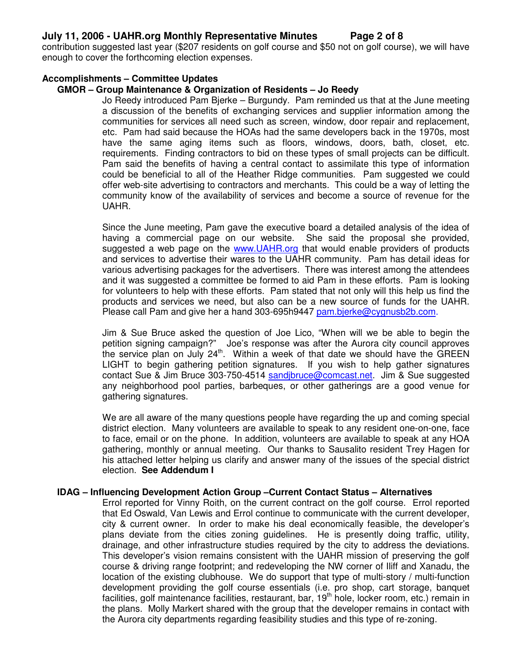### **July 11, 2006 - UAHR.org Monthly Representative Minutes Page 2 of 8**

contribution suggested last year (\$207 residents on golf course and \$50 not on golf course), we will have enough to cover the forthcoming election expenses.

### **Accomplishments – Committee Updates**

### **GMOR – Group Maintenance & Organization of Residents – Jo Reedy**

Jo Reedy introduced Pam Bjerke – Burgundy. Pam reminded us that at the June meeting a discussion of the benefits of exchanging services and supplier information among the communities for services all need such as screen, window, door repair and replacement, etc. Pam had said because the HOAs had the same developers back in the 1970s, most have the same aging items such as floors, windows, doors, bath, closet, etc. requirements. Finding contractors to bid on these types of small projects can be difficult. Pam said the benefits of having a central contact to assimilate this type of information could be beneficial to all of the Heather Ridge communities. Pam suggested we could offer web-site advertising to contractors and merchants. This could be a way of letting the community know of the availability of services and become a source of revenue for the UAHR.

Since the June meeting, Pam gave the executive board a detailed analysis of the idea of having a commercial page on our website. She said the proposal she provided, suggested a web page on the www.UAHR.org that would enable providers of products and services to advertise their wares to the UAHR community. Pam has detail ideas for various advertising packages for the advertisers. There was interest among the attendees and it was suggested a committee be formed to aid Pam in these efforts. Pam is looking for volunteers to help with these efforts. Pam stated that not only will this help us find the products and services we need, but also can be a new source of funds for the UAHR. Please call Pam and give her a hand 303-695h9447 pam.bjerke@cygnusb2b.com.

Jim & Sue Bruce asked the question of Joe Lico, "When will we be able to begin the petition signing campaign?" Joe's response was after the Aurora city council approves the service plan on July 24<sup>th</sup>. Within a week of that date we should have the GREEN LIGHT to begin gathering petition signatures. If you wish to help gather signatures contact Sue & Jim Bruce 303-750-4514 sandjbruce@comcast.net. Jim & Sue suggested any neighborhood pool parties, barbeques, or other gatherings are a good venue for gathering signatures.

We are all aware of the many questions people have regarding the up and coming special district election. Many volunteers are available to speak to any resident one-on-one, face to face, email or on the phone. In addition, volunteers are available to speak at any HOA gathering, monthly or annual meeting. Our thanks to Sausalito resident Trey Hagen for his attached letter helping us clarify and answer many of the issues of the special district election. **See Addendum I**

#### **IDAG – Influencing Development Action Group –Current Contact Status – Alternatives**

Errol reported for Vinny Roith, on the current contract on the golf course. Errol reported that Ed Oswald, Van Lewis and Errol continue to communicate with the current developer, city & current owner. In order to make his deal economically feasible, the developer's plans deviate from the cities zoning guidelines. He is presently doing traffic, utility, drainage, and other infrastructure studies required by the city to address the deviations. This developer's vision remains consistent with the UAHR mission of preserving the golf course & driving range footprint; and redeveloping the NW corner of Iliff and Xanadu, the location of the existing clubhouse. We do support that type of multi-story / multi-function development providing the golf course essentials (i.e. pro shop, cart storage, banquet facilities, golf maintenance facilities, restaurant, bar, 19<sup>th</sup> hole, locker room, etc.) remain in the plans. Molly Markert shared with the group that the developer remains in contact with the Aurora city departments regarding feasibility studies and this type of re-zoning.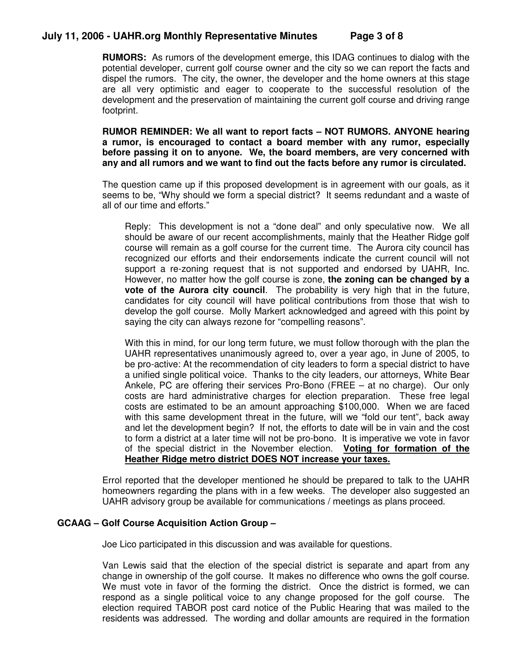## **July 11, 2006 - UAHR.org Monthly Representative Minutes Page 3 of 8**

**RUMORS:** As rumors of the development emerge, this IDAG continues to dialog with the potential developer, current golf course owner and the city so we can report the facts and dispel the rumors. The city, the owner, the developer and the home owners at this stage are all very optimistic and eager to cooperate to the successful resolution of the development and the preservation of maintaining the current golf course and driving range footprint.

**RUMOR REMINDER: We all want to report facts – NOT RUMORS. ANYONE hearing a rumor, is encouraged to contact a board member with any rumor, especially before passing it on to anyone. We, the board members, are very concerned with any and all rumors and we want to find out the facts before any rumor is circulated.**

The question came up if this proposed development is in agreement with our goals, as it seems to be, "Why should we form a special district? It seems redundant and a waste of all of our time and efforts."

Reply: This development is not a "done deal" and only speculative now. We all should be aware of our recent accomplishments, mainly that the Heather Ridge golf course will remain as a golf course for the current time. The Aurora city council has recognized our efforts and their endorsements indicate the current council will not support a re-zoning request that is not supported and endorsed by UAHR, Inc. However, no matter how the golf course is zone, **the zoning can be changed by a vote of the Aurora city council**. The probability is very high that in the future, candidates for city council will have political contributions from those that wish to develop the golf course. Molly Markert acknowledged and agreed with this point by saying the city can always rezone for "compelling reasons".

With this in mind, for our long term future, we must follow thorough with the plan the UAHR representatives unanimously agreed to, over a year ago, in June of 2005, to be pro-active: At the recommendation of city leaders to form a special district to have a unified single political voice. Thanks to the city leaders, our attorneys, White Bear Ankele, PC are offering their services Pro-Bono (FREE – at no charge). Our only costs are hard administrative charges for election preparation. These free legal costs are estimated to be an amount approaching \$100,000. When we are faced with this same development threat in the future, will we "fold our tent", back away and let the development begin? If not, the efforts to date will be in vain and the cost to form a district at a later time will not be pro-bono. It is imperative we vote in favor of the special district in the November election. **Voting for formation of the Heather Ridge metro district DOES NOT increase your taxes.**

Errol reported that the developer mentioned he should be prepared to talk to the UAHR homeowners regarding the plans with in a few weeks. The developer also suggested an UAHR advisory group be available for communications / meetings as plans proceed.

### **GCAAG – Golf Course Acquisition Action Group –**

Joe Lico participated in this discussion and was available for questions.

Van Lewis said that the election of the special district is separate and apart from any change in ownership of the golf course. It makes no difference who owns the golf course. We must vote in favor of the forming the district. Once the district is formed, we can respond as a single political voice to any change proposed for the golf course. The election required TABOR post card notice of the Public Hearing that was mailed to the residents was addressed. The wording and dollar amounts are required in the formation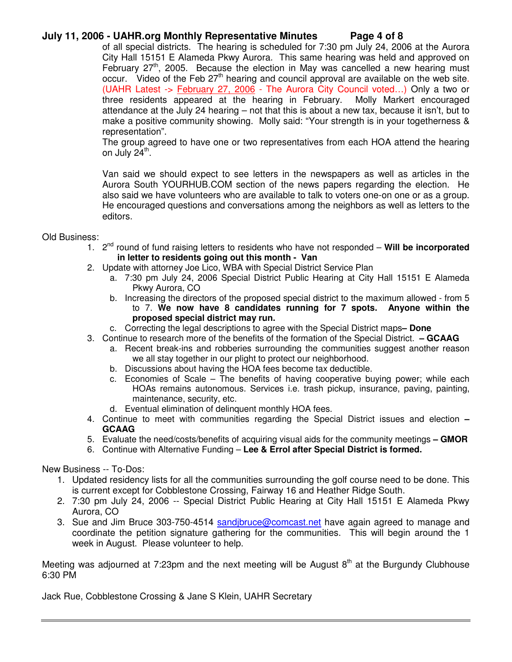### **July 11, 2006 - UAHR.org Monthly Representative Minutes Page 4 of 8**

of all special districts. The hearing is scheduled for 7:30 pm July 24, 2006 at the Aurora City Hall 15151 E Alameda Pkwy Aurora. This same hearing was held and approved on February  $27<sup>th</sup>$ , 2005. Because the election in May was cancelled a new hearing must occur. Video of the Feb 27<sup>th</sup> hearing and council approval are available on the web site. (UAHR Latest -> February 27, 2006 - The Aurora City Council voted…) Only a two or three residents appeared at the hearing in February. Molly Markert encouraged attendance at the July 24 hearing – not that this is about a new tax, because it isn't, but to make a positive community showing. Molly said: "Your strength is in your togetherness & representation".

The group agreed to have one or two representatives from each HOA attend the hearing on July 24<sup>th</sup>.

Van said we should expect to see letters in the newspapers as well as articles in the Aurora South YOURHUB.COM section of the news papers regarding the election. He also said we have volunteers who are available to talk to voters one-on one or as a group. He encouraged questions and conversations among the neighbors as well as letters to the editors.

#### Old Business:

- 1. 2<sup>nd</sup> round of fund raising letters to residents who have not responded Will be incorporated **in letter to residents going out this month - Van**
- 2. Update with attorney Joe Lico, WBA with Special District Service Plan
	- a. 7:30 pm July 24, 2006 Special District Public Hearing at City Hall 15151 E Alameda Pkwy Aurora, CO
	- b. Increasing the directors of the proposed special district to the maximum allowed from 5 to 7. **We now have 8 candidates running for 7 spots. Anyone within the proposed special district may run.**
	- c. Correcting the legal descriptions to agree with the Special District maps**– Done**
- 3. Continue to research more of the benefits of the formation of the Special District. **– GCAAG**
	- a. Recent break-ins and robberies surrounding the communities suggest another reason we all stay together in our plight to protect our neighborhood.
	- b. Discussions about having the HOA fees become tax deductible.
	- c. Economies of Scale The benefits of having cooperative buying power; while each HOAs remains autonomous. Services i.e. trash pickup, insurance, paving, painting, maintenance, security, etc.
	- d. Eventual elimination of delinquent monthly HOA fees.
- 4. Continue to meet with communities regarding the Special District issues and election **– GCAAG**
- 5. Evaluate the need/costs/benefits of acquiring visual aids for the community meetings **– GMOR** 6. Continue with Alternative Funding – **Lee & Errol after Special District is formed.**

New Business -- To-Dos:

- 1. Updated residency lists for all the communities surrounding the golf course need to be done. This is current except for Cobblestone Crossing, Fairway 16 and Heather Ridge South.
- 2. 7:30 pm July 24, 2006 -- Special District Public Hearing at City Hall 15151 E Alameda Pkwy Aurora, CO
- 3. Sue and Jim Bruce 303-750-4514 sandjbruce@comcast.net have again agreed to manage and coordinate the petition signature gathering for the communities. This will begin around the 1 week in August. Please volunteer to help.

Meeting was adjourned at 7:23pm and the next meeting will be August 8<sup>th</sup> at the Burgundy Clubhouse 6:30 PM

Jack Rue, Cobblestone Crossing & Jane S Klein, UAHR Secretary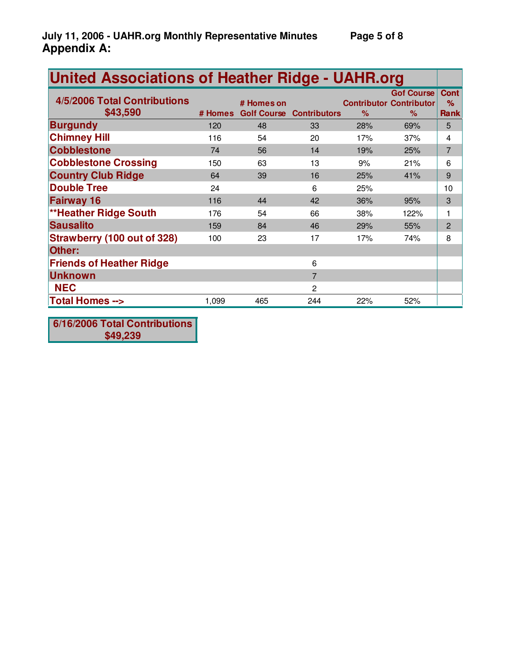| <b>United Associations of Heather Ridge - UAHR.org</b> |         |            |                                 |      |                                                             |                                 |
|--------------------------------------------------------|---------|------------|---------------------------------|------|-------------------------------------------------------------|---------------------------------|
| 4/5/2006 Total Contributions<br>\$43,590               | # Homes | # Homes on | <b>Golf Course Contributors</b> | $\%$ | <b>Gof Course</b><br><b>Contributor Contributor</b><br>$\%$ | <b>Cont</b><br>%<br><b>Rank</b> |
| <b>Burgundy</b>                                        | 120     | 48         | 33                              | 28%  | 69%                                                         | 5                               |
| <b>Chimney Hill</b>                                    | 116     | 54         | 20                              | 17%  | 37%                                                         | 4                               |
| <b>Cobblestone</b>                                     | 74      | 56         | 14                              | 19%  | 25%                                                         | $\overline{7}$                  |
| <b>Cobblestone Crossing</b>                            | 150     | 63         | 13                              | 9%   | 21%                                                         | 6                               |
| <b>Country Club Ridge</b>                              | 64      | 39         | 16                              | 25%  | 41%                                                         | 9                               |
| <b>Double Tree</b>                                     | 24      |            | 6                               | 25%  |                                                             | 10                              |
| <b>Fairway 16</b>                                      | 116     | 44         | 42                              | 36%  | 95%                                                         | 3                               |
| <b>**Heather Ridge South</b>                           | 176     | 54         | 66                              | 38%  | 122%                                                        |                                 |
| <b>Sausalito</b>                                       | 159     | 84         | 46                              | 29%  | 55%                                                         | $\overline{2}$                  |
| <b>Strawberry (100 out of 328)</b>                     | 100     | 23         | 17                              | 17%  | 74%                                                         | 8                               |
| Other:                                                 |         |            |                                 |      |                                                             |                                 |
| <b>Friends of Heather Ridge</b>                        |         |            | 6                               |      |                                                             |                                 |
| <b>Unknown</b>                                         |         |            | $\overline{7}$                  |      |                                                             |                                 |
| <b>NEC</b>                                             |         |            | $\overline{2}$                  |      |                                                             |                                 |
| <b>Total Homes --&gt;</b>                              | 1,099   | 465        | 244                             | 22%  | 52%                                                         |                                 |

**6/16/2006 Total Contributions \$49,239**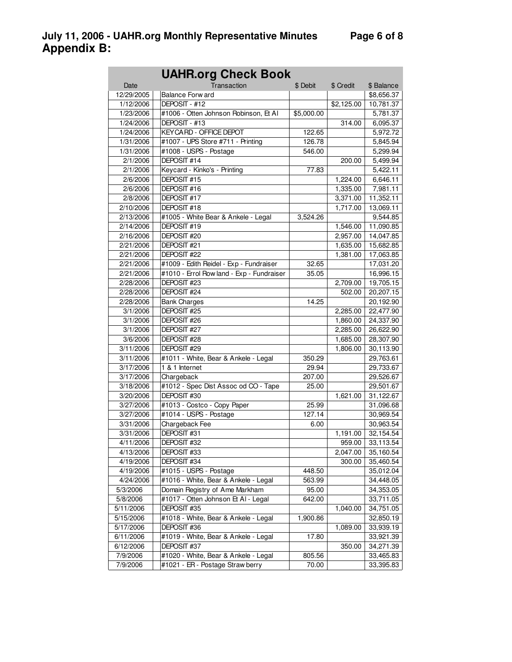| <b>UAHR.org Check Book</b> |                                           |            |            |            |  |  |
|----------------------------|-------------------------------------------|------------|------------|------------|--|--|
| Date                       | Transaction                               | \$ Debit   | \$ Credit  | \$ Balance |  |  |
| 12/29/2005                 | <b>Balance Forward</b>                    |            |            | \$8,656.37 |  |  |
| 1/12/2006                  | DEPOSIT - #12                             |            | \$2,125.00 | 10,781.37  |  |  |
| 1/23/2006                  | #1006 - Otten Johnson Robinson, Et Al     | \$5,000.00 |            | 5,781.37   |  |  |
| 1/24/2006                  | DEPOSIT - #13                             |            | 314.00     | 6,095.37   |  |  |
| 1/24/2006                  | <b>KEYCARD - OFFICE DEPOT</b>             | 122.65     |            | 5,972.72   |  |  |
| 1/31/2006                  | #1007 - UPS Store #711 - Printing         | 126.78     |            | 5,845.94   |  |  |
| 1/31/2006                  | #1008 - USPS - Postage                    | 546.00     |            | 5,299.94   |  |  |
| 2/1/2006                   | DEPOSIT #14                               |            | 200.00     | 5,499.94   |  |  |
| 2/1/2006                   | Keycard - Kinko's - Printing              | 77.83      |            | 5,422.11   |  |  |
| 2/6/2006                   | DEPOSIT #15                               |            | 1,224.00   | 6,646.11   |  |  |
| 2/6/2006                   | DEPOSIT #16                               |            | 1,335.00   | 7,981.11   |  |  |
| 2/8/2006                   | DEPOSIT #17                               |            | 3,371.00   | 11,352.11  |  |  |
| 2/10/2006                  | DEPOSIT #18                               |            | 1,717.00   | 13,069.11  |  |  |
| 2/13/2006                  | #1005 - White Bear & Ankele - Legal       | 3,524.26   |            | 9,544.85   |  |  |
| 2/14/2006                  | DEPOSIT #19                               |            | 1,546.00   | 11,090.85  |  |  |
| 2/16/2006                  | DEPOSIT #20                               |            | 2,957.00   | 14,047.85  |  |  |
| 2/21/2006                  | DEPOSIT #21                               |            | 1,635.00   | 15,682.85  |  |  |
| 2/21/2006                  | DEPOSIT #22                               |            | 1,381.00   | 17,063.85  |  |  |
| 2/21/2006                  | #1009 - Edith Reidel - Exp - Fundraiser   | 32.65      |            | 17,031.20  |  |  |
| 2/21/2006                  | #1010 - Errol Row land - Exp - Fundraiser | 35.05      |            | 16,996.15  |  |  |
| 2/28/2006                  | DEPOSIT #23                               |            | 2,709.00   | 19,705.15  |  |  |
| 2/28/2006                  | DEPOSIT #24                               |            | 502.00     | 20,207.15  |  |  |
| 2/28/2006                  | <b>Bank Charges</b>                       | 14.25      |            | 20,192.90  |  |  |
| 3/1/2006                   | DEPOSIT #25                               |            | 2,285.00   | 22,477.90  |  |  |
| 3/1/2006                   | DEPOSIT #26                               |            | 1,860.00   | 24,337.90  |  |  |
| 3/1/2006                   | DEPOSIT #27                               |            | 2,285.00   | 26,622.90  |  |  |
| 3/6/2006                   | DEPOSIT #28                               |            | 1,685.00   | 28,307.90  |  |  |
| 3/11/2006                  | DEPOSIT #29                               |            | 1,806.00   | 30,113.90  |  |  |
| 3/11/2006                  | #1011 - White, Bear & Ankele - Legal      | 350.29     |            | 29,763.61  |  |  |
| 3/17/2006                  | 1 & 1 Internet                            | 29.94      |            | 29,733.67  |  |  |
| 3/17/2006                  | Chargeback                                | 207.00     |            | 29,526.67  |  |  |
| 3/18/2006                  | #1012 - Spec Dist Assoc od CO - Tape      | 25.00      |            | 29,501.67  |  |  |
| 3/20/2006                  | DEPOSIT #30                               |            | 1,621.00   | 31,122.67  |  |  |
| 3/27/2006                  | #1013 - Costco - Copy Paper               | 25.99      |            | 31,096.68  |  |  |
| 3/27/2006                  | #1014 - USPS - Postage                    | 127.14     |            | 30,969.54  |  |  |
| 3/31/2006                  | Chargeback Fee                            | 6.00       |            | 30,963.54  |  |  |
| 3/31/2006                  | DEPOSIT #31                               |            | 1,191.00   | 32,154.54  |  |  |
| 4/11/2006                  | DEPOSIT #32                               |            | 959.00     | 33,113.54  |  |  |
| 4/13/2006                  | DEPOSIT #33                               |            | 2,047.00   | 35,160.54  |  |  |
| 4/19/2006                  | DEPOSIT #34                               |            | 300.00     | 35,460.54  |  |  |
| 4/19/2006                  | #1015 - USPS - Postage                    | 448.50     |            | 35,012.04  |  |  |
| 4/24/2006                  | #1016 - White, Bear & Ankele - Legal      | 563.99     |            | 34,448.05  |  |  |
| 5/3/2006                   | Domain Registry of Ame Markham            | 95.00      |            | 34,353.05  |  |  |
| 5/8/2006                   | #1017 - Otten Johnson Et AI - Legal       | 642.00     |            | 33,711.05  |  |  |
| 5/11/2006                  | DEPOSIT #35                               |            | 1,040.00   | 34,751.05  |  |  |
| 5/15/2006                  | #1018 - White, Bear & Ankele - Legal      | 1,900.86   |            | 32,850.19  |  |  |
| 5/17/2006                  | DEPOSIT #36                               |            | 1,089.00   | 33,939.19  |  |  |
| 6/11/2006                  | #1019 - White, Bear & Ankele - Legal      | 17.80      |            | 33,921.39  |  |  |
| 6/12/2006                  | DEPOSIT #37                               |            | 350.00     | 34,271.39  |  |  |
| 7/9/2006                   | #1020 - White, Bear & Ankele - Legal      | 805.56     |            | 33,465.83  |  |  |
| 7/9/2006                   | #1021 - ER - Postage Straw berry          | 70.00      |            | 33,395.83  |  |  |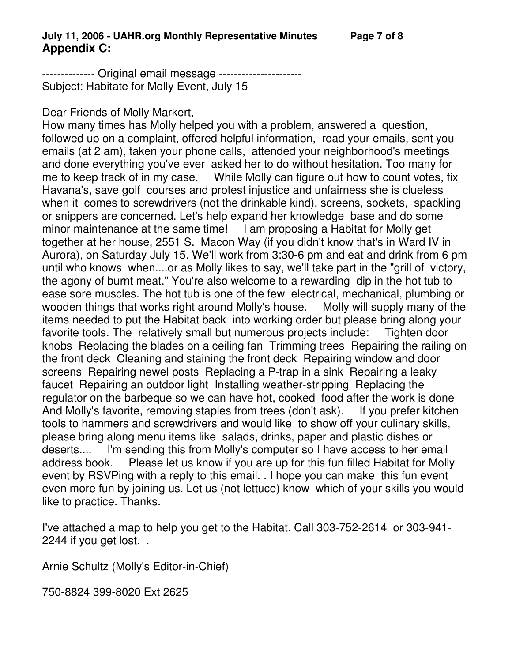-------------- Original email message ---------------------- Subject: Habitate for Molly Event, July 15

## Dear Friends of Molly Markert,

How many times has Molly helped you with a problem, answered a question, followed up on a complaint, offered helpful information, read your emails, sent you emails (at 2 am), taken your phone calls, attended your neighborhood's meetings and done everything you've ever asked her to do without hesitation. Too many for me to keep track of in my case. While Molly can figure out how to count votes, fix Havana's, save golf courses and protest injustice and unfairness she is clueless when it comes to screwdrivers (not the drinkable kind), screens, sockets, spackling or snippers are concerned. Let's help expand her knowledge base and do some minor maintenance at the same time! I am proposing a Habitat for Molly get together at her house, 2551 S. Macon Way (if you didn't know that's in Ward IV in Aurora), on Saturday July 15. We'll work from 3:30-6 pm and eat and drink from 6 pm until who knows when....or as Molly likes to say, we'll take part in the "grill of victory, the agony of burnt meat." You're also welcome to a rewarding dip in the hot tub to ease sore muscles. The hot tub is one of the few electrical, mechanical, plumbing or wooden things that works right around Molly's house. Molly will supply many of the items needed to put the Habitat back into working order but please bring along your favorite tools. The relatively small but numerous projects include: Tighten door knobs Replacing the blades on a ceiling fan Trimming trees Repairing the railing on the front deck Cleaning and staining the front deck Repairing window and door screens Repairing newel posts Replacing a P-trap in a sink Repairing a leaky faucet Repairing an outdoor light Installing weather-stripping Replacing the regulator on the barbeque so we can have hot, cooked food after the work is done And Molly's favorite, removing staples from trees (don't ask). If you prefer kitchen tools to hammers and screwdrivers and would like to show off your culinary skills, please bring along menu items like salads, drinks, paper and plastic dishes or deserts.... I'm sending this from Molly's computer so I have access to her email address book. Please let us know if you are up for this fun filled Habitat for Molly event by RSVPing with a reply to this email. . I hope you can make this fun event even more fun by joining us. Let us (not lettuce) know which of your skills you would like to practice. Thanks.

I've attached a map to help you get to the Habitat. Call 303-752-2614 or 303-941- 2244 if you get lost. .

Arnie Schultz (Molly's Editor-in-Chief)

750-8824 399-8020 Ext 2625